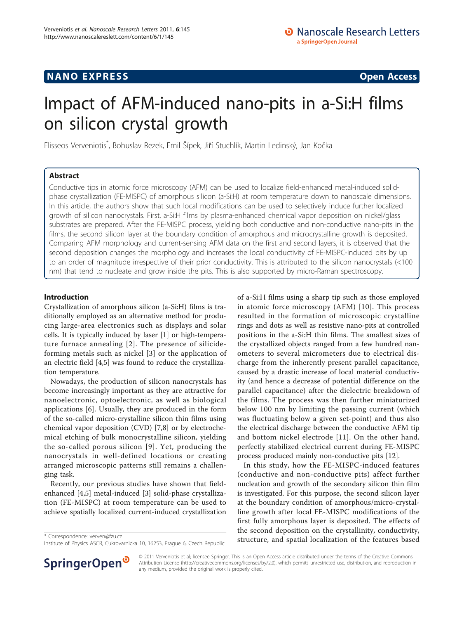## **NANO EXPRESS** Open Access **Open Access**

# Impact of AFM-induced nano-pits in a-Si:H films on silicon crystal growth

Elisseos Verveniotis<sup>\*</sup>, Bohuslav Rezek, Emil Šípek, Ji<del>ř</del>í Stuchlík, Martin Ledinský, Jan Kočka

## Abstract

Conductive tips in atomic force microscopy (AFM) can be used to localize field-enhanced metal-induced solidphase crystallization (FE-MISPC) of amorphous silicon (a-Si:H) at room temperature down to nanoscale dimensions. In this article, the authors show that such local modifications can be used to selectively induce further localized growth of silicon nanocrystals. First, a-Si:H films by plasma-enhanced chemical vapor deposition on nickel/glass substrates are prepared. After the FE-MISPC process, yielding both conductive and non-conductive nano-pits in the films, the second silicon layer at the boundary condition of amorphous and microcrystalline growth is deposited. Comparing AFM morphology and current-sensing AFM data on the first and second layers, it is observed that the second deposition changes the morphology and increases the local conductivity of FE-MISPC-induced pits by up to an order of magnitude irrespective of their prior conductivity. This is attributed to the silicon nanocrystals (<100 nm) that tend to nucleate and grow inside the pits. This is also supported by micro-Raman spectroscopy.

## Introduction

Crystallization of amorphous silicon (a-Si:H) films is traditionally employed as an alternative method for producing large-area electronics such as displays and solar cells. It is typically induced by laser [\[1\]](#page-4-0) or high-temperature furnace annealing [[2](#page-4-0)]. The presence of silicideforming metals such as nickel [\[3](#page-4-0)] or the application of an electric field [[4,5\]](#page-4-0) was found to reduce the crystallization temperature.

Nowadays, the production of silicon nanocrystals has become increasingly important as they are attractive for nanoelectronic, optoelectronic, as well as biological applications [[6\]](#page-4-0). Usually, they are produced in the form of the so-called micro-crystalline silicon thin films using chemical vapor deposition (CVD) [[7,8\]](#page-4-0) or by electrochemical etching of bulk monocrystalline silicon, yielding the so-called porous silicon [[9\]](#page-4-0). Yet, producing the nanocrystals in well-defined locations or creating arranged microscopic patterns still remains a challenging task.

Recently, our previous studies have shown that fieldenhanced [\[4,5](#page-4-0)] metal-induced [[3\]](#page-4-0) solid-phase crystallization (FE-MISPC) at room temperature can be used to achieve spatially localized current-induced crystallization

of a-Si:H films using a sharp tip such as those employed in atomic force microscopy (AFM) [[10](#page-4-0)]. This process resulted in the formation of microscopic crystalline rings and dots as well as resistive nano-pits at controlled positions in the a-Si:H thin films. The smallest sizes of the crystallized objects ranged from a few hundred nanometers to several micrometers due to electrical discharge from the inherently present parallel capacitance, caused by a drastic increase of local material conductivity (and hence a decrease of potential difference on the parallel capacitance) after the dielectric breakdown of the films. The process was then further miniaturized below 100 nm by limiting the passing current (which was fluctuating below a given set-point) and thus also the electrical discharge between the conductive AFM tip and bottom nickel electrode [[11\]](#page-4-0). On the other hand, perfectly stabilized electrical current during FE-MISPC process produced mainly non-conductive pits [\[12](#page-4-0)].

In this study, how the FE-MISPC-induced features (conductive and non-conductive pits) affect further nucleation and growth of the secondary silicon thin film is investigated. For this purpose, the second silicon layer at the boundary condition of amorphous/micro-crystalline growth after local FE-MISPC modifications of the first fully amorphous layer is deposited. The effects of the second deposition on the crystallinity, conductivity, \* Correspondence: [verven@fzu.cz](mailto:verven@fzu.cz)<br>lociture, and spatial localization of the features based



© 2011 Verveniotis et al; licensee Springer. This is an Open Access article distributed under the terms of the Creative Commons Attribution License [\(http://creativecommons.org/licenses/by/2.0](http://creativecommons.org/licenses/by/2.0)), which permits unrestricted use, distribution, and reproduction in any medium, provided the original work is properly cited.

Institute of Physics ASCR, Cukrovarnicka 10, 16253, Prague 6, Czech Republic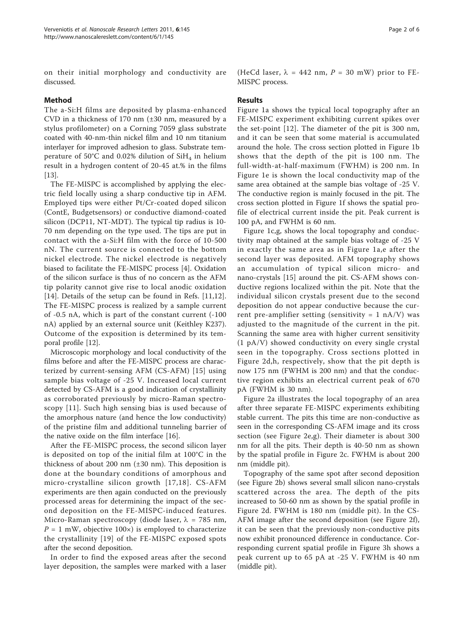on their initial morphology and conductivity are discussed.

## Method

The a-Si:H films are deposited by plasma-enhanced CVD in a thickness of 170 nm (±30 nm, measured by a stylus profilometer) on a Corning 7059 glass substrate coated with 40-nm-thin nickel film and 10 nm titanium interlayer for improved adhesion to glass. Substrate temperature of 50°C and 0.02% dilution of  $SiH<sub>4</sub>$  in helium result in a hydrogen content of 20-45 at.% in the films [[13\]](#page-4-0).

The FE-MISPC is accomplished by applying the electric field locally using a sharp conductive tip in AFM. Employed tips were either Pt/Cr-coated doped silicon (ContE, Budgetsensors) or conductive diamond-coated silicon (DCP11, NT-MDT). The typical tip radius is 10- 70 nm depending on the type used. The tips are put in contact with the a-Si:H film with the force of 10-500 nN. The current source is connected to the bottom nickel electrode. The nickel electrode is negatively biased to facilitate the FE-MISPC process [[4\]](#page-4-0). Oxidation of the silicon surface is thus of no concern as the AFM tip polarity cannot give rise to local anodic oxidation [[14](#page-4-0)]. Details of the setup can be found in Refs. [[11,12](#page-4-0)]. The FE-MISPC process is realized by a sample current of -0.5 nA, which is part of the constant current (-100 nA) applied by an external source unit (Keithley K237). Outcome of the exposition is determined by its temporal profile [\[12](#page-4-0)].

Microscopic morphology and local conductivity of the films before and after the FE-MISPC process are characterized by current-sensing AFM (CS-AFM) [[15\]](#page-4-0) using sample bias voltage of -25 V. Increased local current detected by CS-AFM is a good indication of crystallinity as corroborated previously by micro-Raman spectroscopy [[11](#page-4-0)]. Such high sensing bias is used because of the amorphous nature (and hence the low conductivity) of the pristine film and additional tunneling barrier of the native oxide on the film interface [\[16\]](#page-4-0).

After the FE-MISPC process, the second silicon layer is deposited on top of the initial film at 100°C in the thickness of about 200 nm  $(\pm 30 \text{ nm})$ . This deposition is done at the boundary conditions of amorphous and micro-crystalline silicon growth [[17](#page-4-0),[18\]](#page-4-0). CS-AFM experiments are then again conducted on the previously processed areas for determining the impact of the second deposition on the FE-MISPC-induced features. Micro-Raman spectroscopy (diode laser,  $\lambda$  = 785 nm,  $P = 1$  mW, objective 100 $\times$ ) is employed to characterize the crystallinity [\[19\]](#page-5-0) of the FE-MISPC exposed spots after the second deposition.

In order to find the exposed areas after the second layer deposition, the samples were marked with a laser

(HeCd laser,  $\lambda = 442$  nm,  $P = 30$  mW) prior to FE-MISPC process.

## Results

Figure [1a](#page-2-0) shows the typical local topography after an FE-MISPC experiment exhibiting current spikes over the set-point [\[12\]](#page-4-0). The diameter of the pit is 300 nm, and it can be seen that some material is accumulated around the hole. The cross section plotted in Figure [1b](#page-2-0) shows that the depth of the pit is 100 nm. The full-width-at-half-maximum (FWHM) is 200 nm. In Figure [1e](#page-2-0) is shown the local conductivity map of the same area obtained at the sample bias voltage of -25 V. The conductive region is mainly focused in the pit. The cross section plotted in Figure [1f](#page-2-0) shows the spatial profile of electrical current inside the pit. Peak current is 100 pA, and FWHM is 60 nm.

Figure [1c,g](#page-2-0), shows the local topography and conductivity map obtained at the sample bias voltage of -25 V in exactly the same area as in Figure [1a,e](#page-2-0) after the second layer was deposited. AFM topography shows an accumulation of typical silicon micro- and nano-crystals [[15\]](#page-4-0) around the pit. CS-AFM shows conductive regions localized within the pit. Note that the individual silicon crystals present due to the second deposition do not appear conductive because the current pre-amplifier setting (sensitivity =  $1 nA/V$ ) was adjusted to the magnitude of the current in the pit. Scanning the same area with higher current sensitivity (1 pA/V) showed conductivity on every single crystal seen in the topography. Cross sections plotted in Figure [2d,h,](#page-2-0) respectively, show that the pit depth is now 175 nm (FWHM is 200 nm) and that the conductive region exhibits an electrical current peak of 670 pA (FWHM is 30 nm).

Figure [2a](#page-2-0) illustrates the local topography of an area after three separate FE-MISPC experiments exhibiting stable current. The pits this time are non-conductive as seen in the corresponding CS-AFM image and its cross section (see Figure [2e,g](#page-2-0)). Their diameter is about 300 nm for all the pits. Their depth is 40-50 nm as shown by the spatial profile in Figure [2c.](#page-2-0) FWHM is about 200 nm (middle pit).

Topography of the same spot after second deposition (see Figure [2b](#page-2-0)) shows several small silicon nano-crystals scattered across the area. The depth of the pits increased to 50-60 nm as shown by the spatial profile in Figure [2d](#page-2-0). FWHM is 180 nm (middle pit). In the CS-AFM image after the second deposition (see Figure [2f](#page-2-0)), it can be seen that the previously non-conductive pits now exhibit pronounced difference in conductance. Corresponding current spatial profile in Figure [3h](#page-2-0) shows a peak current up to 65 pA at -25 V. FWHM is 40 nm (middle pit).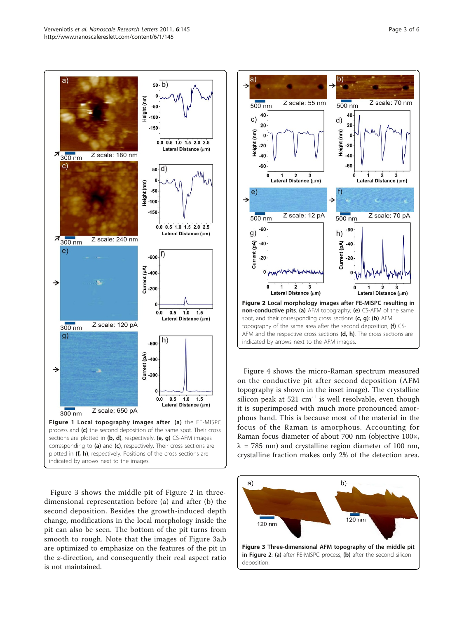<span id="page-2-0"></span>

Figure 3 shows the middle pit of Figure 2 in threedimensional representation before (a) and after (b) the second deposition. Besides the growth-induced depth change, modifications in the local morphology inside the pit can also be seen. The bottom of the pit turns from smooth to rough. Note that the images of Figure 3a,b are optimized to emphasize on the features of the pit in the z-direction, and consequently their real aspect ratio is not maintained.



Figure [4](#page-3-0) shows the micro-Raman spectrum measured on the conductive pit after second deposition (AFM topography is shown in the inset image). The crystalline silicon peak at 521  $cm^{-1}$  is well resolvable, even though it is superimposed with much more pronounced amorphous band. This is because most of the material in the focus of the Raman is amorphous. Accounting for Raman focus diameter of about 700 nm (objective 100×,  $\lambda$  = 785 nm) and crystalline region diameter of 100 nm, crystalline fraction makes only 2% of the detection area.

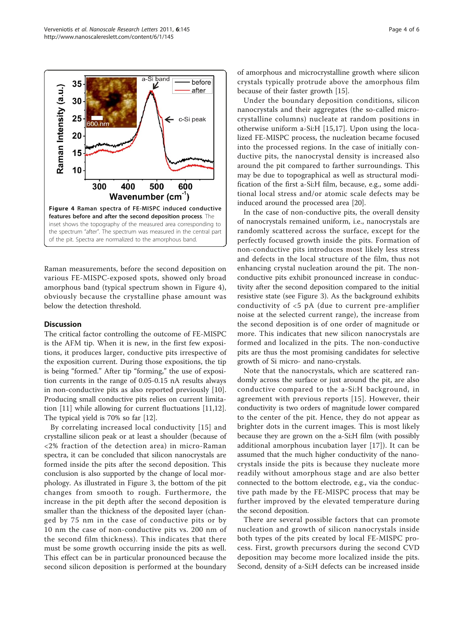<span id="page-3-0"></span>

Raman measurements, before the second deposition on various FE-MISPC-exposed spots, showed only broad amorphous band (typical spectrum shown in Figure 4), obviously because the crystalline phase amount was below the detection threshold.

## **Discussion**

The critical factor controlling the outcome of FE-MISPC is the AFM tip. When it is new, in the first few expositions, it produces larger, conductive pits irrespective of the exposition current. During those expositions, the tip is being "formed." After tip "forming," the use of exposition currents in the range of 0.05-0.15 nA results always in non-conductive pits as also reported previously [\[10](#page-4-0)]. Producing small conductive pits relies on current limitation [[11\]](#page-4-0) while allowing for current fluctuations [\[11,12](#page-4-0)]. The typical yield is 70% so far [[12\]](#page-4-0).

By correlating increased local conductivity [[15](#page-4-0)] and crystalline silicon peak or at least a shoulder (because of <2% fraction of the detection area) in micro-Raman spectra, it can be concluded that silicon nanocrystals are formed inside the pits after the second deposition. This conclusion is also supported by the change of local morphology. As illustrated in Figure [3,](#page-2-0) the bottom of the pit changes from smooth to rough. Furthermore, the increase in the pit depth after the second deposition is smaller than the thickness of the deposited layer (changed by 75 nm in the case of conductive pits or by 10 nm the case of non-conductive pits vs. 200 nm of the second film thickness). This indicates that there must be some growth occurring inside the pits as well. This effect can be in particular pronounced because the second silicon deposition is performed at the boundary

of amorphous and microcrystalline growth where silicon crystals typically protrude above the amorphous film because of their faster growth [[15](#page-4-0)].

Under the boundary deposition conditions, silicon nanocrystals and their aggregates (the so-called microcrystalline columns) nucleate at random positions in otherwise uniform a-Si:H [[15,17](#page-4-0)]. Upon using the localized FE-MISPC process, the nucleation became focused into the processed regions. In the case of initially conductive pits, the nanocrystal density is increased also around the pit compared to farther surroundings. This may be due to topographical as well as structural modification of the first a-Si:H film, because, e.g., some additional local stress and/or atomic scale defects may be induced around the processed area [[20\]](#page-5-0).

In the case of non-conductive pits, the overall density of nanocrystals remained uniform, i.e., nanocrystals are randomly scattered across the surface, except for the perfectly focused growth inside the pits. Formation of non-conductive pits introduces most likely less stress and defects in the local structure of the film, thus not enhancing crystal nucleation around the pit. The nonconductive pits exhibit pronounced increase in conductivity after the second deposition compared to the initial resistive state (see Figure [3](#page-2-0)). As the background exhibits conductivity of <5 pA (due to current pre-amplifier noise at the selected current range), the increase from the second deposition is of one order of magnitude or more. This indicates that new silicon nanocrystals are formed and localized in the pits. The non-conductive pits are thus the most promising candidates for selective growth of Si micro- and nano-crystals.

Note that the nanocrystals, which are scattered randomly across the surface or just around the pit, are also conductive compared to the a-Si:H background, in agreement with previous reports [[15\]](#page-4-0). However, their conductivity is two orders of magnitude lower compared to the center of the pit. Hence, they do not appear as brighter dots in the current images. This is most likely because they are grown on the a-Si:H film (with possibly additional amorphous incubation layer [[17\]](#page-4-0)). It can be assumed that the much higher conductivity of the nanocrystals inside the pits is because they nucleate more readily without amorphous stage and are also better connected to the bottom electrode, e.g., via the conductive path made by the FE-MISPC process that may be further improved by the elevated temperature during the second deposition.

There are several possible factors that can promote nucleation and growth of silicon nanocrystals inside both types of the pits created by local FE-MISPC process. First, growth precursors during the second CVD deposition may become more localized inside the pits. Second, density of a-Si:H defects can be increased inside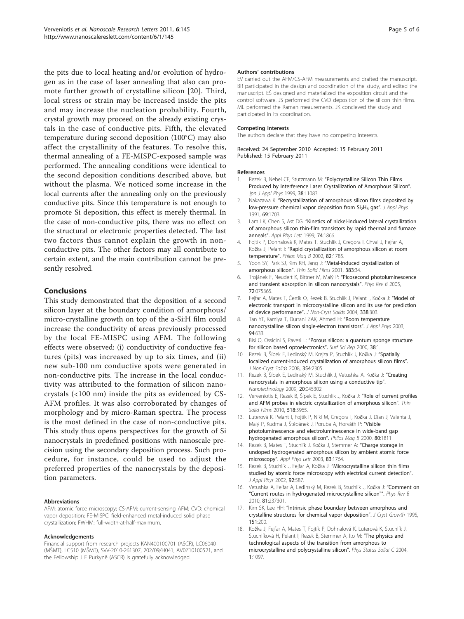<span id="page-4-0"></span>the pits due to local heating and/or evolution of hydrogen as in the case of laser annealing that also can promote further growth of crystalline silicon [[20](#page-5-0)]. Third, local stress or strain may be increased inside the pits and may increase the nucleation probability. Fourth, crystal growth may proceed on the already existing crystals in the case of conductive pits. Fifth, the elevated temperature during second deposition (100°C) may also affect the crystallinity of the features. To resolve this, thermal annealing of a FE-MISPC-exposed sample was performed. The annealing conditions were identical to the second deposition conditions described above, but without the plasma. We noticed some increase in the local currents after the annealing only on the previously conductive pits. Since this temperature is not enough to promote Si deposition, this effect is merely thermal. In the case of non-conductive pits, there was no effect on the structural or electronic properties detected. The last two factors thus cannot explain the growth in nonconductive pits. The other factors may all contribute to certain extent, and the main contribution cannot be presently resolved.

## Conclusions

This study demonstrated that the deposition of a second silicon layer at the boundary condition of amorphous/ micro-crystalline growth on top of the a-Si:H film could increase the conductivity of areas previously processed by the local FE-MISPC using AFM. The following effects were observed: (i) conductivity of conductive features (pits) was increased by up to six times, and (ii) new sub-100 nm conductive spots were generated in non-conductive pits. The increase in the local conductivity was attributed to the formation of silicon nanocrystals (<100 nm) inside the pits as evidenced by CS-AFM profiles. It was also corroborated by changes of morphology and by micro-Raman spectra. The process is the most defined in the case of non-conductive pits. This study thus opens perspectives for the growth of Si nanocrystals in predefined positions with nanoscale precision using the secondary deposition process. Such procedure, for instance, could be used to adjust the preferred properties of the nanocrystals by the deposition parameters.

#### Abbreviations

AFM: atomic force microscopy; CS-AFM: current-sensing AFM; CVD: chemical vapor deposition; FE-MISPC: field-enhanced metal-induced solid phase crystallization; FWHM: full-width-at-half-maximum.

#### Acknowledgements

Financial support from research projects KAN400100701 (ASCR), LC06040 (MŠMT), LC510 (MŠMT), SVV-2010-261307, 202/09/H041, AV0Z10100521, and the Fellowship J E Purkyně (ASCR) is gratefully acknowledged.

#### Authors' contributions

EV carried out the AFM/CS-AFM measurements and drafted the manuscript. BR participated in the design and coordination of the study, and edited the manuscript. EŠ designed and materialized the exposition circuit and the control software. JS performed the CVD deposition of the silicon thin films. ML performed the Raman meaurements. JK concieved the study and participated in its coordination.

#### Competing interests

The authors declare that they have no competing interests.

Received: 24 September 2010 Accepted: 15 February 2011 Published: 15 February 2011

#### References

- Rezek B, Nebel CE, Stutzmann M: "Polycrystalline Silicon Thin Films Produced by Interference Laser Crystallization of Amorphous Silicon". Jpn J Appl Phys 1999, 38:L1083.
- 2. Nakazawa K: "Recrystallization of amorphous silicon films deposited by low-pressure chemical vapor deposition from  $Si<sub>2</sub>H<sub>6</sub>$  gas". J Appl Phys 1991, 69:1703.
- 3. Lam LK, Chen S, Ast DG: "Kinetics of nickel-induced lateral crystallization of amorphous silicon thin-film transistors by rapid thermal and furnace anneals". Appl Phys Lett 1999, 74:1866.
- 4. Fojtik P, Dohnalová K, Mates T, Stuchlík J, Gregora I, Chval J, Fejfar A, Kočka J, Pelant I: "Rapid crystallization of amorphous silicon at room temperature". Philos Mag B 2002, 82:1785.
- 5. Yoon SY, Park SJ, Kim KH, Jang J: "Metal-induced crystallization of amorphous silicon". Thin Solid Films 2001, 383:34.
- 6. Trojánek F, Neudert K, Bittner M, Malý P: "Picosecond photoluminescence and transient absorption in silicon nanocrystals". Phys Rev B 2005, 72:075365.
- 7. Fejfar A, Mates T, Čertík O, Rezek B, Stuchlík J, Pelant I, Kočka J: "Model of electronic transport in microcrystalline silicon and its use for prediction of device performance". J Non-Cryst Solids 2004, 338:303.
- 8. Tan YT, Kamiya T, Durrani ZAK, Ahmed H: "Room temperature nanocrystalline silicon single-electron transistors". J Appl Phys 2003, 94:633.
- 9. Bisi O, Ossicini S, Pavesi L: "Porous silicon: a quantum sponge structure for silicon based optoelectronics". Surf Sci Rep 2000, 38:1.
- 10. Rezek B, Šípek E, Ledinský M, Krejza P, Stuchlík J, Kočka J: "Spatially localized current-induced crystallization of amorphous silicon films". J Non-Cryst Solids 2008, 354:2305.
- 11. Rezek B, Šípek E, Ledinský M, Stuchlík J, Vetushka A, Kočka J: "[Creating](http://www.ncbi.nlm.nih.gov/pubmed/19417314?dopt=Abstract) [nanocrystals in amorphous silicon using a conductive tip](http://www.ncbi.nlm.nih.gov/pubmed/19417314?dopt=Abstract)". Nanotechnology 2009, 20:045302.
- 12. Verveniotis E, Rezek B, Šípek E, Stuchlik J, Kočka J: "Role of current profiles and AFM probes in electric crystallization of amorphous silicon". Thin Solid Films 2010, 518:5965.
- 13. Luterová K, Pelant I, Fojtík P, Nikl M, Gregora I, Kočka J, Dian J, Valenta J, Malý P, Kudrna J, Štěpánek J, Poruba A, Horváth P: "Visible photoluminescence and electroluminescence in wide-band gap hydrogenated amorphous silicon". Philos Mag B 2000, 80:1811.
- 14. Rezek B, Mates T, Stuchlík J, Kočka J, Stemmer A: "Charge storage in undoped hydrogenated amorphous silicon by ambient atomic force microscopy". Appl Phys Lett 2003, 83:1764.
- 15. Rezek B, Stuchlík J, Fejfar A, Kočka J: "Microcrystalline silicon thin films studied by atomic force microscopy with electrical current detection". J Appl Phys 2002, 92:587.
- 16. Vetushka A, Feifar A, Ledinský M, Rezek B, Stuchlik J, Kočka J: "Comment on "Current routes in hydrogenated microcrystalline silicon"". Phys Rev B 2010, 81:237301.
- 17. Kim SK, Lee HH: "Intrinsic phase boundary between amorphous and crystalline structures for chemical vapor deposition". J Cryst Growth 1995, 151:200.
- 18. Kočka J, Fejfar A, Mates T, Fojtík P, Dohnalová K, Luterová K, Stuchlík J, Stuchlíková H, Pelant I, Rezek B, Stemmer A, Ito M: "The physics and technological aspects of the transition from amorphous to microcrystalline and polycrystalline silicon". Phys Status Solidi C 2004, 1:1097.